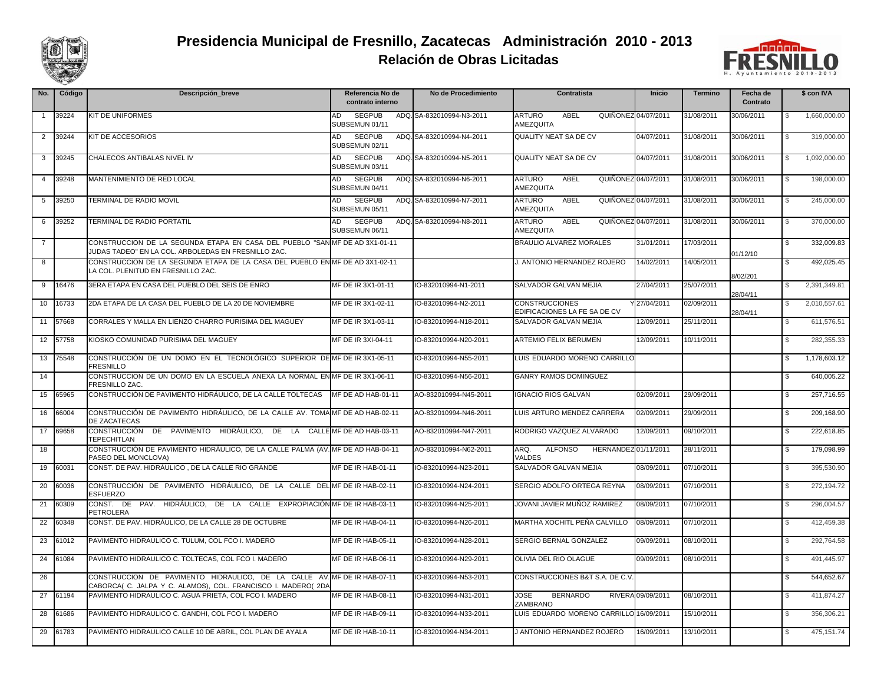

## **Relación de Obras Licitadas Presidencia Municipal de Fresnillo, Zacatecas Administración 2010 - 2013**



| No.            | Código | Descripción_breve                                                                                                                         | Referencia No de<br>contrato interno  | No de Procedimiento       | Contratista                                                      | Inicio            | Termino    | Fecha de<br>Contrato | \$ con IVA                 |
|----------------|--------|-------------------------------------------------------------------------------------------------------------------------------------------|---------------------------------------|---------------------------|------------------------------------------------------------------|-------------------|------------|----------------------|----------------------------|
| $\mathbf{1}$   | 39224  | <b>KIT DE UNIFORMES</b>                                                                                                                   | AD<br><b>SEGPUB</b><br>SUBSEMUN 01/11 | ADQ, SA-832010994-N3-2011 | <b>ARTURO</b><br>ABEL<br>QUIÑONEZ 04/07/2011<br>AMEZQUITA        |                   | 31/08/2011 | 30/06/2011           | 1,660,000.00               |
| $\overline{2}$ | 39244  | KIT DE ACCESORIOS                                                                                                                         | <b>SEGPUB</b><br>AD<br>SUBSEMUN 02/11 | ADQ. SA-832010994-N4-2011 | QUALITY NEAT SA DE CV                                            | 04/07/2011        | 31/08/2011 | 30/06/2011           | 319,000.00<br>$\mathbb{S}$ |
| 3              | 39245  | CHALECOS ANTIBALAS NIVEL IV                                                                                                               | <b>SEGPUB</b><br>AD<br>SUBSEMUN 03/11 | ADQ. SA-832010994-N5-2011 | QUALITY NEAT SA DE CV                                            | 04/07/2011        | 31/08/2011 | 30/06/2011           | 1,092,000.00<br>\$         |
| $\overline{4}$ | 39248  | MANTENIMIENTO DE RED LOCAL                                                                                                                | AD<br><b>SEGPUB</b><br>SUBSEMUN 04/11 | ADQ. SA-832010994-N6-2011 | <b>ARTURO</b><br>ABEL<br>QUIÑONEZ 04/07/2011<br>AMEZQUITA        |                   | 31/08/2011 | 30/06/2011           | 198,000,00<br>\$.          |
| 5              | 39250  | TERMINAL DE RADIO MOVIL                                                                                                                   | <b>SEGPUB</b><br>AD<br>SUBSEMUN 05/11 | ADQ. SA-832010994-N7-2011 | <b>ABEL</b><br><b>ARTURO</b><br>QUIÑONEZ 04/07/2011<br>AMEZQUITA |                   | 31/08/2011 | 30/06/2011           | 245,000.00<br>\$           |
| 6              | 39252  | TERMINAL DE RADIO PORTATIL                                                                                                                | <b>SEGPUB</b><br>AD<br>SUBSEMUN 06/11 | ADQ. SA-832010994-N8-2011 | <b>ARTURO</b><br>ABEL<br>QUIÑONEZ 04/07/2011<br>AMEZQUITA        |                   | 31/08/2011 | 30/06/2011           | 370,000.00<br>\$           |
| -7             |        | CONSTRUCCION DE LA SEGUNDA ETAPA EN CASA DEL PUEBLO "SAN MF DE AD 3X1-01-11<br>JUDAS TADEO" EN LA COL. ARBOLEDAS EN FRESNILLO ZAC.        |                                       |                           | <b>BRAULIO ALVAREZ MORALES</b>                                   | 31/01/2011        | 17/03/2011 | 01/12/10             | 332,009.83<br>\$           |
| 8              |        | CONSTRUCCION DE LA SEGUNDA ETAPA DE LA CASA DEL PUEBLO EN MF DE AD 3X1-02-11<br>LA COL. PLENITUD EN FRESNILLO ZAC.                        |                                       |                           | J. ANTONIO HERNANDEZ ROJERO                                      | 14/02/2011        | 14/05/2011 | 8/02/201             | 492.025.45<br>\$.          |
| 9              | 16476  | 3ERA ETAPA EN CASA DEL PUEBLO DEL SEIS DE ENRO                                                                                            | MF DE IR 3X1-01-11                    | IO-832010994-N1-2011      | SALVADOR GALVAN MEJIA                                            | 27/04/2011        | 25/07/2011 | 28/04/11             | 2,391,349.81<br>S.         |
| 10             | 16733  | 2DA ETAPA DE LA CASA DEL PUEBLO DE LA 20 DE NOVIEMBRE                                                                                     | MF DE IR 3X1-02-11                    | IO-832010994-N2-2011      | <b>CONSTRUCCIONES</b><br>EDIFICACIONES LA FE SA DE CV            | 27/04/2011        | 02/09/2011 | 28/04/11             | 2,010,557.61<br>\$         |
| 11             | 57668  | CORRALES Y MALLA EN LIENZO CHARRO PURISIMA DEL MAGUEY                                                                                     | MF DE IR 3X1-03-11                    | IO-832010994-N18-2011     | SALVADOR GALVAN MEJIA                                            | 12/09/2011        | 25/11/2011 |                      | 611.576.51<br>\$.          |
| 12             | 57758  | KIOSKO COMUNIDAD PURISIMA DEL MAGUEY                                                                                                      | MF DE IR 3XI-04-11                    | IO-832010994-N20-2011     | <b>ARTEMIO FELIX BERUMEN</b>                                     | 12/09/2011        | 10/11/2011 |                      | 282,355.33<br>S            |
| 13             | 75548  | CONSTRUCCIÓN DE UN DOMO EN EL TECNOLÓGICO SUPERIOR DE MF DE IR 3X1-05-11<br><b>FRESNILLO</b>                                              |                                       | IO-832010994-N55-2011     | LUIS EDUARDO MORENO CARRILLO                                     |                   |            |                      | 1,178,603.12<br>\$         |
| 14             |        | CONSTRUCCION DE UN DOMO EN LA ESCUELA ANEXA LA NORMAL EN MF DE IR 3X1-06-11<br><b>FRESNILLO ZAC.</b>                                      |                                       | IO-832010994-N56-2011     | <b>GANRY RAMOS DOMINGUEZ</b>                                     |                   |            |                      | \$<br>640,005.22           |
| 15             | 65965  | CONSTRUCCIÓN DE PAVIMENTO HIDRÁULICO, DE LA CALLE TOLTECAS                                                                                | MF DE AD HAB-01-11                    | AO-832010994-N45-2011     | <b>IGNACIO RIOS GALVAN</b>                                       | 02/09/2011        | 29/09/2011 |                      | 257,716.55<br>S.           |
| 16             | 66004  | CONSTRUCCIÓN DE PAVIMENTO HIDRÁULICO, DE LA CALLE AV. TOMA MF DE AD HAB-02-11<br>DE ZACATECAS                                             |                                       | AO-832010994-N46-2011     | LUIS ARTURO MENDEZ CARRERA                                       | 02/09/2011        | 29/09/2011 |                      | 209,168.90<br>\$.          |
| 17             | 69658  | CONSTRUCCIÓN<br>DE PAVIMENTO HIDRÁULICO, DE LA<br><b>TEPECHITLAN</b>                                                                      | CALLE MF DE AD HAB-03-11              | AO-832010994-N47-2011     | RODRIGO VAZQUEZ ALVARADO                                         | 12/09/2011        | 09/10/2011 |                      | 222,618.85<br>\$           |
| 18             |        | CONSTRUCCIÓN DE PAVIMENTO HIDRÁULICO, DE LA CALLE PALMA (AV. MF DE AD HAB-04-11<br>PASEO DEL MONCLOVA)                                    |                                       | AO-832010994-N62-2011     | ARQ.<br><b>ALFONSO</b><br>HERNANDEZ 01/11/2011<br>VALDES         |                   | 28/11/2011 |                      | 179,098.99<br>\$           |
| 19             | 60031  | CONST. DE PAV. HIDRÁULICO, DE LA CALLE RIO GRANDE                                                                                         | MF DE IR HAB-01-11                    | IO-832010994-N23-2011     | SALVADOR GALVAN MEJIA                                            | 08/09/2011        | 07/10/2011 |                      | 395,530.90<br>\$.          |
| 20             | 60036  | CONSTRUCCIÓN DE PAVIMENTO HIDRÁULICO, DE LA CALLE DEL MF DE IR HAB-02-11<br><b>ESFUERZO</b>                                               |                                       | IO-832010994-N24-2011     | SERGIO ADOLFO ORTEGA REYNA                                       | 08/09/2011        | 07/10/2011 |                      | 272,194.72<br>\$           |
| 21             | 60309  | CONST. DE PAV. HIDRAULICO, DE LA CALLE EXPROPIACIÓN MF DE IR HAB-03-11<br><b>PETROLERA</b>                                                |                                       | IO-832010994-N25-2011     | JOVANI JAVIER MUÑOZ RAMIREZ                                      | 08/09/2011        | 07/10/2011 |                      | 296,004.57<br>\$           |
| 22             | 60348  | CONST. DE PAV. HIDRÁULICO, DE LA CALLE 28 DE OCTUBRE                                                                                      | MF DE IR HAB-04-11                    | IO-832010994-N26-2011     | MARTHA XOCHITL PEÑA CALVILLO                                     | 08/09/2011        | 07/10/2011 |                      | 412,459.38<br>S.           |
| 23             | 61012  | PAVIMENTO HIDRAULICO C. TULUM, COL FCO I. MADERO                                                                                          | MF DE IR HAB-05-11                    | IO-832010994-N28-2011     | SERGIO BERNAL GONZALEZ                                           | 09/09/2011        | 08/10/2011 |                      | 292,764.58<br>$\mathbb{S}$ |
| 24             | 61084  | PAVIMENTO HIDRAULICO C. TOLTECAS, COL FCO I. MADERO                                                                                       | MF DE IR HAB-06-11                    | IO-832010994-N29-2011     | OLIVIA DEL RIO OLAGUE                                            | 09/09/2011        | 08/10/2011 |                      | 491,445.97<br>\$.          |
| 26             |        | CONSTRUCCION DE PAVIMENTO HIDRAULICO, DE LA CALLE AV. MF DE IR HAB-07-11<br>CABORCA( C. JALPA Y C. ALAMOS), COL. FRANCISCO I. MADERO( 2DA |                                       | IO-832010994-N53-2011     | CONSTRUCCIONES B&T S.A. DE C.V                                   |                   |            |                      | 544,652.67<br>S            |
| 27             | 61194  | PAVIMENTO HIDRAULICO C. AGUA PRIETA, COL FCO I. MADERO                                                                                    | MF DE IR HAB-08-11                    | IO-832010994-N31-2011     | <b>JOSE</b><br><b>BERNARDO</b><br>ZAMBRANO                       | RIVERA 09/09/2011 | 08/10/2011 |                      | 411,874.27<br>$\mathbb{S}$ |
| 28             | 61686  | PAVIMENTO HIDRAULICO C. GANDHI, COL FCO I, MADERO                                                                                         | MF DE IR HAB-09-11                    | IO-832010994-N33-2011     | LUIS EDUARDO MORENO CARRILLO 16/09/2011                          |                   | 15/10/2011 |                      | 356.306.21<br>\$.          |
| 29             | 61783  | PAVIMENTO HIDRAULICO CALLE 10 DE ABRIL, COL PLAN DE AYALA                                                                                 | MF DE IR HAB-10-11                    | IO-832010994-N34-2011     | J ANTONIO HERNANDEZ ROJERO                                       | 16/09/2011        | 13/10/2011 |                      | 475,151.74<br>\$.          |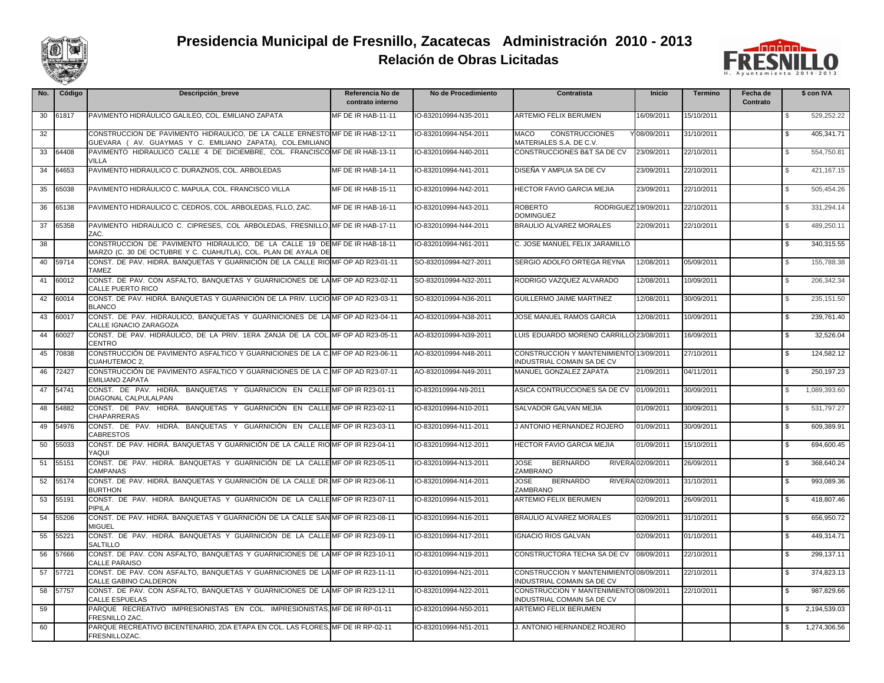

## **Relación de Obras Licitadas Presidencia Municipal de Fresnillo, Zacatecas Administración 2010 - 2013**



| No. | Código | Descripción_breve                                                                                                                           | Referencia No de<br>contrato interno | No de Procedimiento   | Contratista                                                                  | Inicio            | Termino    | Fecha de<br>Contrato | \$ con IVA                   |
|-----|--------|---------------------------------------------------------------------------------------------------------------------------------------------|--------------------------------------|-----------------------|------------------------------------------------------------------------------|-------------------|------------|----------------------|------------------------------|
| 30  | 61817  | PAVIMENTO HIDRÁULICO GALILEO, COL. EMILIANO ZAPATA                                                                                          | MF DE IR HAB-11-11                   | IO-832010994-N35-2011 | <b>ARTEMIO FELIX BERUMEN</b>                                                 | 16/09/2011        | 15/10/2011 |                      | 529,252.22                   |
| 32  |        | CONSTRUCCION DE PAVIMENTO HIDRAULICO. DE LA CALLE ERNESTO MF DE IR HAB-12-11<br>GUEVARA (AV. GUAYMAS Y C. EMILIANO ZAPATA), COL.EMILIANC    |                                      | IO-832010994-N54-2011 | MACO<br><b>CONSTRUCCIONES</b><br>MATERIALES S.A. DE C.V.                     | 08/09/2011        | 31/10/2011 |                      | $\mathfrak{L}$<br>405,341.71 |
| 33  | 64408  | PAVIMENTO HIDRAULICO CALLE 4 DE DICIEMBRE, COL. FRANCISCO MF DE IR HAB-13-11<br>VILLA                                                       |                                      | IO-832010994-N40-2011 | CONSTRUCCIONES B&T SA DE CV                                                  | 23/09/2011        | 22/10/2011 |                      | 554,750.81<br>\$             |
| 34  | 64653  | PAVIMENTO HIDRAULICO C. DURAZNOS, COL. ARBOLEDAS                                                                                            | MF DE IR HAB-14-11                   | IO-832010994-N41-2011 | DISEÑA Y AMPLIA SA DE CV                                                     | 23/09/2011        | 22/10/2011 |                      | 421,167.15<br>$\mathfrak{L}$ |
| 35  | 65038  | PAVIMENTO HIDRÁULICO C. MAPULA, COL. FRANCISCO VILLA                                                                                        | MF DE IR HAB-15-11                   | IO-832010994-N42-2011 | <b>HECTOR FAVIO GARCIA MEJIA</b>                                             | 23/09/2011        | 22/10/2011 |                      | 505,454.26<br>$\mathfrak{L}$ |
| 36  | 65138  | PAVIMENTO HIDRAULICO C. CEDROS, COL. ARBOLEDAS, FLLO, ZAC.                                                                                  | MF DE IR HAB-16-11                   | IO-832010994-N43-2011 | <b>ROBERTO</b><br>RODRIGUEZ 19/09/2011<br><b>DOMINGUEZ</b>                   |                   | 22/10/2011 |                      | 331,294.14<br>\$             |
| 37  | 65358  | PAVIMENTO HIDRAULICO C. CIPRESES, COL ARBOLEDAS, FRESNILLO, MF DE IR HAB-17-11<br>ZAC.                                                      |                                      | IO-832010994-N44-2011 | <b>BRAULIO ALVAREZ MORALES</b>                                               | 22/09/2011        | 22/10/2011 |                      | 489,250.11<br>\$             |
| 38  |        | CONSTRUCCION DE PAVIMENTO HIDRAULICO, DE LA CALLE 19 DE MF DE IR HAB-18-11<br>MARZO (C. 30 DE OCTUBRE Y C. CUAHUTLA), COL. PLAN DE AYALA DE |                                      | IO-832010994-N61-2011 | C. JOSE MANUEL FELIX JARAMILLO                                               |                   |            |                      | 340,315.55<br>\$             |
| 40  | 59714  | CONST. DE PAV. HIDRÁ. BANQUETAS Y GUARNICIÓN DE LA CALLE RIO MF OP AD R23-01-11<br><b>TAMEZ</b>                                             |                                      | SO-832010994-N27-2011 | SERGIO ADOLFO ORTEGA REYNA                                                   | 12/08/2011        | 05/09/2011 |                      | 155,788.38<br>\$             |
| 41  | 60012  | CONST. DE PAV. CON ASFALTO, BANQUETAS Y GUARNICIONES DE LA MF OP AD R23-02-11<br>CALLE PUERTO RICO                                          |                                      | SO-832010994-N32-2011 | RODRIGO VAZQUEZ ALVARADO                                                     | 12/08/2011        | 10/09/2011 |                      | 206,342.34<br>S              |
| 42  | 60014  | CONST. DE PAV. HIDRÁ. BANQUETAS Y GUARNICIÓN DE LA PRIV. LUCIO MF OP AD R23-03-11<br><b>BLANCO</b>                                          |                                      | SO-832010994-N36-2011 | GUILLERMO JAIME MARTINEZ                                                     | 12/08/2011        | 30/09/2011 |                      | 235, 151.50<br>\$            |
| 43  | 60017  | CONST. DE PAV. HIDRAULICO, BANQUETAS Y GUARNICIONES DE LAMF OP AD R23-04-11<br>CALLE IGNACIO ZARAGOZA                                       |                                      | AO-832010994-N38-2011 | JOSE MANUEL RAMOS GARCIA                                                     | 12/08/2011        | 10/09/2011 |                      | 239,761.40<br>\$             |
| 44  | 60027  | CONST. DE PAV. HIDRAULICO, DE LA PRIV. 1ERA ZANJA DE LA COL. MF OP AD R23-05-11<br>CENTRO                                                   |                                      | AO-832010994-N39-2011 | LUIS EDUARDO MORENO CARRILLO 23/08/2011                                      |                   | 16/09/2011 |                      | 32,526.04<br>\$              |
| 45  | 70838  | CONSTRUCCIÓN DE PAVIMENTO ASFALTICO Y GUARNICIONES DE LA C. MF OP AD R23-06-11<br><b>CUAHUTEMOC 2.</b>                                      |                                      | AO-832010994-N48-2011 | CONSTRUCCION Y MANTENIMIENTO 13/09/2011<br>INDUSTRIAL COMAIN SA DE CV        |                   | 27/10/2011 |                      | 124.582.12<br>\$             |
| 46  | 72427  | CONSTRUCCIÓN DE PAVIMENTO ASFALTICO Y GUARNICIONES DE LA C. MF OP AD R23-07-11<br><b>EMILIANO ZAPATA</b>                                    |                                      | AO-832010994-N49-2011 | MANUEL GONZALEZ ZAPATA                                                       | 21/09/2011        | 04/11/2011 |                      | 250.197.23<br>\$             |
| 47  | 54741  | CONST. DE PAV. HIDRA. BANQUETAS Y GUARNICION EN CALLE MF OP IR R23-01-11<br>DIAGONAL CALPULALPAN                                            |                                      | IO-832010994-N9-2011  | ASICA CONTRUCCIONES SA DE CV                                                 | 01/09/2011        | 30/09/2011 |                      | 1,089,393.60<br>S            |
| 48  | 54882  | CONST. DE PAV. HIDRÁ. BANQUETAS Y GUARNICIÓN EN CALLEIMFOPIR R23-02-11<br><b>CHAPARRERAS</b>                                                |                                      | IO-832010994-N10-2011 | SALVADOR GALVAN MEJIA                                                        | 01/09/2011        | 30/09/2011 |                      | 531,797.27<br>\$             |
| 49  | 54976  | CONST. DE PAV. HIDRÁ. BANQUETAS Y GUARNICIÓN EN CALLE MF OP IR R23-03-11<br><b>CABRESTOS</b>                                                |                                      | IO-832010994-N11-2011 | J ANTONIO HERNANDEZ ROJERO                                                   | 01/09/2011        | 30/09/2011 |                      | 609,389.91<br>\$             |
| 50  | 55033  | CONST. DE PAV. HIDRÁ. BANQUETAS Y GUARNICIÓN DE LA CALLE RIOMF OP IR R23-04-11<br>YAQUI                                                     |                                      | IO-832010994-N12-2011 | <b>HECTOR FAVIO GARCIA MEJIA</b>                                             | 01/09/2011        | 15/10/2011 |                      | 694,600.45<br>- \$           |
| 51  | 55151  | CONST. DE PAV. HIDRÁ. BANQUETAS Y GUARNICIÓN DE LA CALLEMF OP IR R23-05-11<br><b>CAMPANAS</b>                                               |                                      | IO-832010994-N13-2011 | <b>JOSE</b><br><b>BERNARDO</b><br>ZAMBRANO                                   | RIVERA 02/09/2011 | 26/09/2011 |                      | \$<br>368,640.24             |
| 52  | 55174  | CONST. DE PAV. HIDRÁ. BANQUETAS Y GUARNICIÓN DE LA CALLE DR. MF OP IR R23-06-11<br><b>BURTHON</b>                                           |                                      | IO-832010994-N14-2011 | <b>BERNARDO</b><br>JOSE<br>ZAMBRANO                                          | RIVERA 02/09/2011 | 31/10/2011 |                      | 993.089.36<br>\$             |
| 53  | 55191  | CONST. DE PAV. HIDRÁ. BANQUETAS Y GUARNICIÓN DE LA CALLEMF OP IR R23-07-11<br>PIPILA                                                        |                                      | IO-832010994-N15-2011 | <b>ARTEMIO FELIX BERUMEN</b>                                                 | 02/09/2011        | 26/09/2011 |                      | 418,807.46<br>S              |
| 54  | 55206  | CONST. DE PAV. HIDRÁ. BANQUETAS Y GUARNICIÓN DE LA CALLE SANMF OP IR R23-08-11<br><b>MIGUEL</b>                                             |                                      | IO-832010994-N16-2011 | <b>BRAULIO ALVAREZ MORALES</b>                                               | 02/09/2011        | 31/10/2011 |                      | 656,950.72<br>\$             |
| 55  | 55221  | CONST. DE PAV. HIDRÁ. BANQUETAS Y GUARNICIÓN DE LA CALLE MF OP IR R23-09-11<br>SALTILLO                                                     |                                      | IO-832010994-N17-2011 | <b>IGNACIO RIOS GALVAN</b>                                                   | 02/09/2011        | 01/10/2011 |                      | 449,314.71<br>\$             |
| 56  | 57666  | CONST. DE PAV. CON ASFALTO, BANQUETAS Y GUARNICIONES DE LAMF OP IR R23-10-11<br><b>CALLE PARAISO</b>                                        |                                      | IO-832010994-N19-2011 | CONSTRUCTORA TECHA SA DE CV                                                  | 08/09/2011        | 22/10/2011 |                      | 299,137.11<br>\$             |
| 57  | 57721  | CONST. DE PAV. CON ASFALTO, BANQUETAS Y GUARNICIONES DE LAMF OP IR R23-11-11<br>CALLE GABINO CALDERON                                       |                                      | IO-832010994-N21-2011 | CONSTRUCCION Y MANTENIMIENTO 08/09/2011<br><b>INDUSTRIAL COMAIN SA DE CV</b> |                   | 22/10/2011 |                      | 374,823.13<br>\$             |
| 58  | 57757  | CONST. DE PAV. CON ASFALTO, BANQUETAS Y GUARNICIONES DE LAMF OP IR R23-12-11<br><b>CALLE ESPUELAS</b>                                       |                                      | IO-832010994-N22-2011 | CONSTRUCCION Y MANTENIMIENTO 08/09/2011<br>INDUSTRIAL COMAIN SA DE CV        |                   | 22/10/2011 |                      | 987,829.66<br>$\mathfrak{L}$ |
| 59  |        | PARQUE RECREATIVO IMPRESIONISTAS EN COL. IMPRESIONISTAS, MF DE IR RP-01-11<br>FRESNILLO ZAC                                                 |                                      | IO-832010994-N50-2011 | <b>ARTEMIO FELIX BERUMEN</b>                                                 |                   |            |                      | 2,194,539.03<br>S            |
| 60  |        | PARQUE RECREATIVO BICENTENARIO, 2DA ETAPA EN COL. LAS FLORES, MF DE IR RP-02-11<br>FRESNILLOZAC.                                            |                                      | IO-832010994-N51-2011 | J. ANTONIO HERNANDEZ ROJERO                                                  |                   |            |                      | 1,274,306.56<br>\$           |